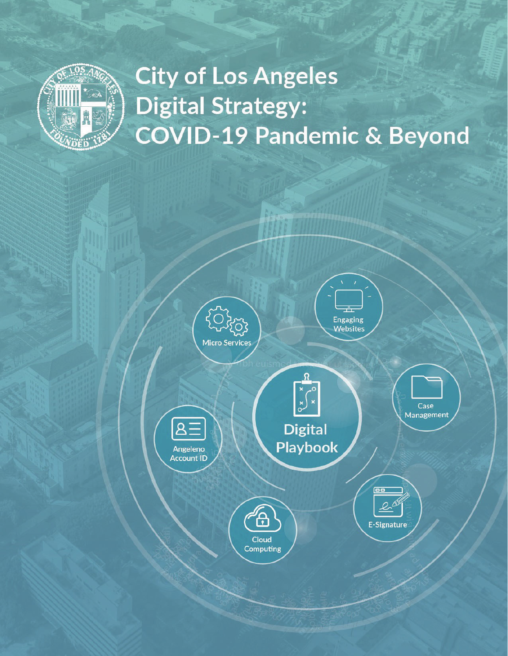

# **City of Los Angeles Digital Strategy: COVID-19 Pandemic & Beyond**

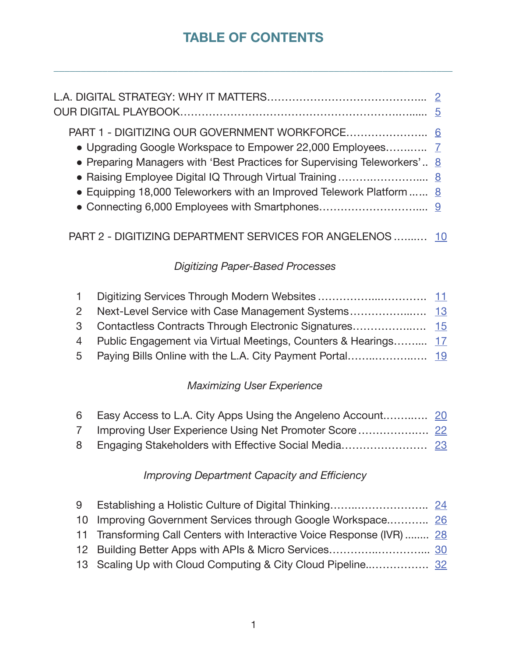# **TABLE OF CONTENTS**

\_\_\_\_\_\_\_\_\_\_\_\_\_\_\_\_\_\_\_\_\_\_\_\_\_\_\_\_\_\_\_\_\_\_\_\_\_\_\_\_\_\_\_\_\_\_\_\_\_\_\_\_\_\_\_\_\_\_\_\_\_\_\_\_\_\_\_\_\_\_\_\_\_\_

| • Preparing Managers with 'Best Practices for Supervising Teleworkers' 8<br>• Equipping 18,000 Teleworkers with an Improved Telework Platform  8 |  |
|--------------------------------------------------------------------------------------------------------------------------------------------------|--|

# PART 2 - DIGITIZING DEPARTMENT SERVICES FOR ANGELENOS .......... 10

# *Digitizing Paper-Based Processes*

| 4 Public Engagement via Virtual Meetings, Counters & Hearings 17 |  |
|------------------------------------------------------------------|--|
|                                                                  |  |

# *Maximizing User Experience*

| 6 Easy Access to L.A. City Apps Using the Angeleno Account 20 |  |
|---------------------------------------------------------------|--|
|                                                               |  |
|                                                               |  |

# *Improving Department Capacity and Efficiency*

| 10 Improving Government Services through Google Workspace 26           |  |
|------------------------------------------------------------------------|--|
| 11 Transforming Call Centers with Interactive Voice Response (IVR)  28 |  |
|                                                                        |  |
|                                                                        |  |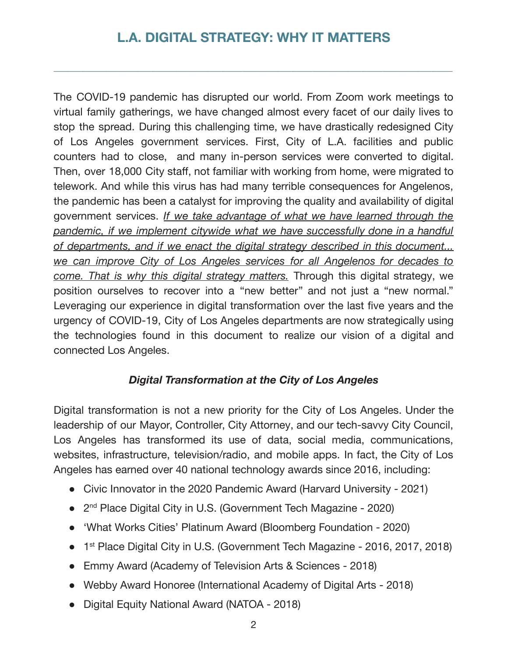# **L.A. DIGITAL STRATEGY: WHY IT MATTERS**

\_\_\_\_\_\_\_\_\_\_\_\_\_\_\_\_\_\_\_\_\_\_\_\_\_\_\_\_\_\_\_\_\_\_\_\_\_\_\_\_\_\_\_\_\_\_\_\_\_\_\_\_\_\_\_\_\_\_\_\_\_\_\_\_\_\_\_\_\_\_\_\_\_\_

The COVID-19 pandemic has disrupted our world. From Zoom work meetings to virtual family gatherings, we have changed almost every facet of our daily lives to stop the spread. During this challenging time, we have drastically redesigned City of Los Angeles government services. First, City of L.A. facilities and public counters had to close, and many in-person services were converted to digital. Then, over 18,000 City staff, not familiar with working from home, were migrated to telework. And while this virus has had many terrible consequences for Angelenos, the pandemic has been a catalyst for improving the quality and availability of digital government services. *If we take advantage of what we have learned through the pandemic, if we implement citywide what we have successfully done in a handful of b b bb b b b b b b b b b departments, and if we enact the digital strategy described in this document... we can improve City of Los Angeles services for all Angelenos for decades to come. That is why this digital strategy matters.* Through this digital strategy, we position ourselves to recover into a "new better" and not just a "new normal." Leveraging our experience in digital transformation over the last five years and the urgency of COVID-19, City of Los Angeles departments are now strategically using the technologies found in this document to realize our vision of a digital and connected Los Angeles.

#### *Digital Transformation at the City of Los Angeles*

Digital transformation is not a new priority for the City of Los Angeles. Under the leadership of our Mayor, Controller, City Attorney, and our tech-savvy City Council, Los Angeles has transformed its use of data, social media, communications, web sites, in frastructure, television/radio, and mobile apps. In fact, the City of Los Angeles has earned over 40 national technology awards since 2016, including:

- Civic Innovator in the 2020 Pandemic Award (Harvard University 2021)
- 2<sup>nd</sup> Place Digital City in U.S. (Government Tech Magazine 2020)
- 'What Works Cities' Platinum Award (Bloomberg Foundation 2020)
- 1<sup>st</sup> Place Digital City in U.S. (Government Tech Magazine 2016, 2017, 2018)
- Emmy Award (Academy of Television Arts & Sciences 2018)
- Webby Award Honoree (International Academy of Digital Arts 2018)
- Digital Equity National Award (NATOA 2018)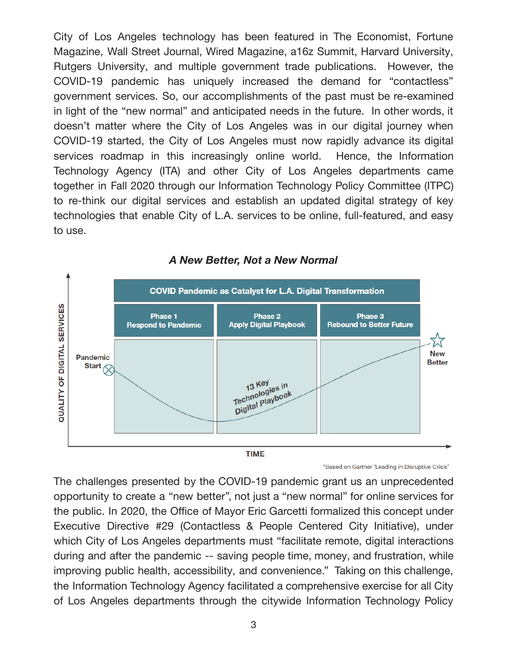City of Los Angeles technology has been featured in The Economist, Fortune Magazine, Wall Street Journal, Wired Magazine, a16z Summit, Harvard University, Rutgers University, and multiple government trade publications. However, the COVID-19 pandemic has uniquely increased the demand for "contactless" government services. So, our accomplishments of the past must be re-examined in light of the "new normal" and anticipated needs in the future. In other words, it doesn't matter where the City of Los Angeles was in our digital journey when COVID-19 started, the City of Los Angeles must now rapidly advance its digital services roadmap in this increasingly online world. Hence, the Information Technology Agency (ITA) and other City of Los Angeles departments came together in Fall 2020 through our Information Technology Policy Committee (ITPC) to re-think our digital services and establish an updated digital strategy of key technologies that enable City of L.A. services to be online, full-featured, and easy to use.



#### *A New Better, Not a New Normal*

\*Based on Gartner 'Leading in Disruptive Crisis'

The challenges presented by the COVID-19 pandemic grant us an unprecedented opportunity to create a "new better", not just a "new normal" for online services for the public. In 2020, the Office of Mayor Eric Garcetti formalized this concept under Executive Directive #29 (Contactless & People Centered City Initiative), under which City of Los Angeles departments must "facilitate remote, digital interactions during and after the pandemic -- saving people time, money, and frustration, while improving public health, accessibility, and convenience." Taking on this challenge, the Information Technology Agency facilitated a comprehensive exercise for all City of Los Angeles departments through the citywide Information Technology Policy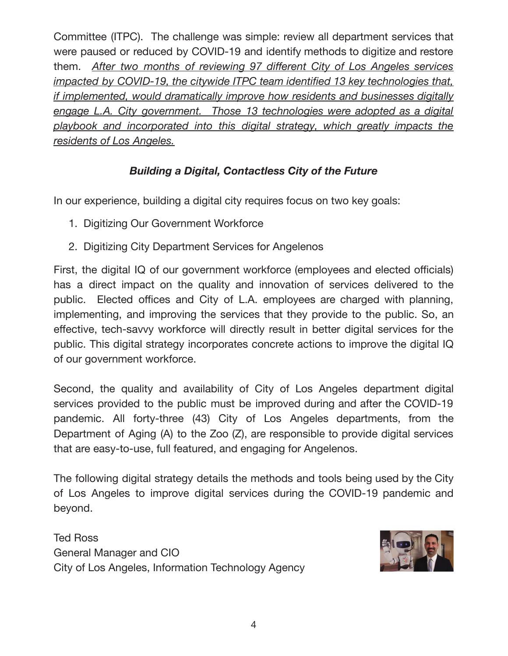Committee (ITPC). The challenge was simple: review all department services that were paused or reduced by COVID-19 and identify methods to digitize and restore them. *After b b bb b b b bb b b b two months of reviewing 97 different City of Los Angeles services impacted by COVID-19, the citywide ITPC team identified 13 key technologies that, if implemented, would dramatically improve how residents and businesses digitally* **engage L.A. City government.** Those 13 technologies were adopted as a digital *playbook and incorporated into this digital strategy, which greatly impacts the residents of Los Angeles.* 

# *Building a Digital, Contactless City of the Future*

In our experience, building a digital city requires focus on two key goals:

- 1. Digitizing Our Government Workforce
- 2. Digitizing City Department Services for Angelenos

First, the digital IQ of our government workforce (employees and elected officials) has a direct impact on the quality and innovation of services delivered to the public. Elected offices and City of L.A. employees are charged with planning, implementing, and improving the services that they provide to the public. So, an effective, tech-savvy workforce will directly result in better digital services for the public. This digital strategy incorporates concrete actions to improve the digital IQ of our government workforce.

Second, the quality and availability of City of Los Angeles department digital services provided to the public must be improved during and after the COVID-19 pandemic. All forty-three (43) City of Los Angeles departments, from the Department of Aging (A) to the Zoo  $(Z)$ , are responsible to provide digital services that are easy-to-use, full featured, and engaging for Angelenos.

The following digital strategy details the methods and tools being used by the City of Los Angeles to improve digital services during the COVID-19 pandemic and beyond.

Ted Ross General Manager and CIO City of Los Angeles, Information Technology Agency

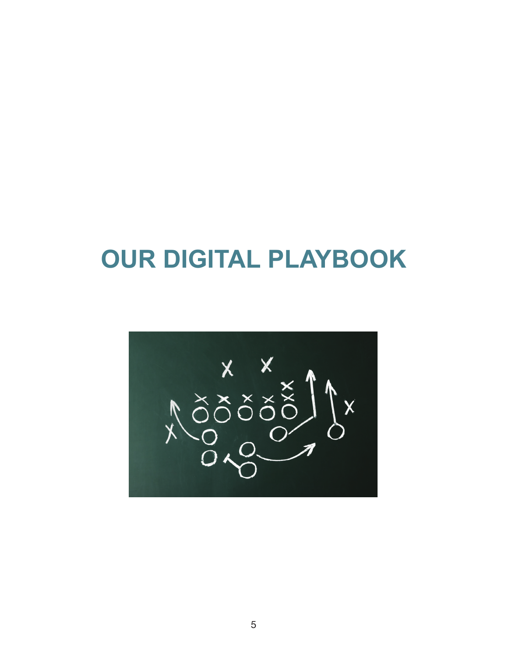# **OUR DIGITAL PLAYBOOK**

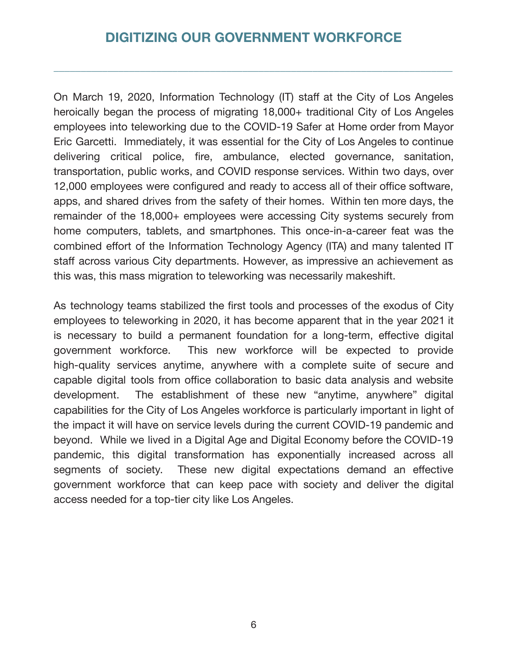# **DIGITIZING OUR GOVERNMENT WORKFORCE**

\_\_\_\_\_\_\_\_\_\_\_\_\_\_\_\_\_\_\_\_\_\_\_\_\_\_\_\_\_\_\_\_\_\_\_\_\_\_\_\_\_\_\_\_\_\_\_\_\_\_\_\_\_\_\_\_\_\_\_\_\_\_\_\_\_\_\_\_\_\_\_\_\_\_

On March 19, 2020, Information Technology (IT) staff at the City of Los Angeles heroically began the process of migrating 18,000+ traditional City of Los Angeles employees into teleworking due to the COVID-19 Safer at Home order from Mayor Eric Garcetti. Immediately, it was essential for the City of Los Angeles to continue delivering critical police, fire, ambulance, elected governance, sanitation, transportation, public works, and COVID response services. Within two days, over 12,000 employees were configured and ready to access all of their office software, apps, and shared drives from the safety of their homes. Within ten more days, the remainder of the 18,000+ employees were accessing City systems securely from home computers, tablets, and smartphones. This once-in-a-career feat was the combined effort of the Information Technology Agency (ITA) and many talented IT staff across various City departments. However, as impressive an achievement as this was, this mass migration to teleworking was necessarily makeshift.

As technology teams stabilized the first tools and processes of the exodus of City employees to teleworking in 2020, it has become apparent that in the year 2021 it is necessary to build a permanent foundation for a long-term, effective digital government workforce. This new workforce will be expected to provide high-quality services anytime, anywhere with a complete suite of secure and capable digital tools from office collaboration to basic data analysis and website development. The establishment of these new "anytime, anywhere" digital capabilities for the City of Los Angeles workforce is particularly important in light of the impact it will have on service levels during the current COVID-19 pandemic and beyond. While we lived in a Digital Age and Digital Economy before the COVID-19 pandemic, this digital transformation has exponentially increased across all segments of society. These new digital expectations demand an effective government workforce that can keep pace with society and deliver the digital access needed for a top-tier city like Los Angeles.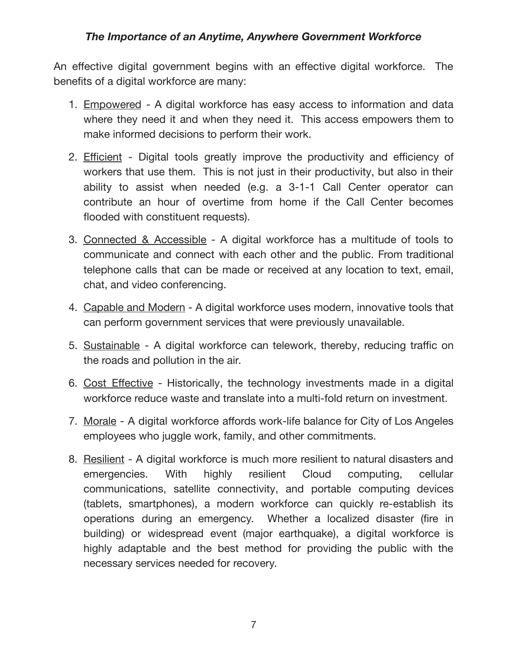#### *The Importance of an Anytime, Anywhere Government Workforce*

An effective digital government begins with an effective digital workforce. The benefits of a digital workforce are many:

- 1. Empowered A digital workforce has easy access to information and data where they need it and when they need it. This access empowers them to make informed decisions to perform their work.
- 2. Efficient Digital tools greatly improve the productivity and efficiency of workers that use them. This is not just in their productivity, but also in their ability to assist when needed (e.g. a 3-1-1 Call Center operator can contribute an hour of overtime from home if the Call Center becomes flooded with constituent requests).
- 3. Connected & Accessible A digital workforce has a multitude of tools to communicate and connect with each other and the public. From traditional telephone calls that can be made or received at any location to text, email, chat, and video conferencing.
- 4. Capable and Modern A digital workforce uses modern, innovative tools that can perform government services that were previously unavailable.
- 5. Sustainable A digital workforce can telework, thereby, reducing traffic on the roads and pollution in the air.
- 6. Cost Effective Historically, the technology investments made in a digital workforce reduce waste and translate into a multi-fold return on investment.
- 7. Morale A digital workforce affords work-life balance for City of Los Angeles employees who juggle work, family, and other commitments.
- 8. Resilient A digital workforce is much more resilient to natural disasters and emergencies. With highly resilient Cloud computing, cellular communications, satellite connectivity, and portable computing devices (tablets, smartphones), a modern workforce can quickly re-establish its operations during an emergency. Whether a localized disaster (fire in building) or widespread event (major earthquake), a digital workforce is highly adaptable and the best method for providing the public with the necessary services needed for recovery.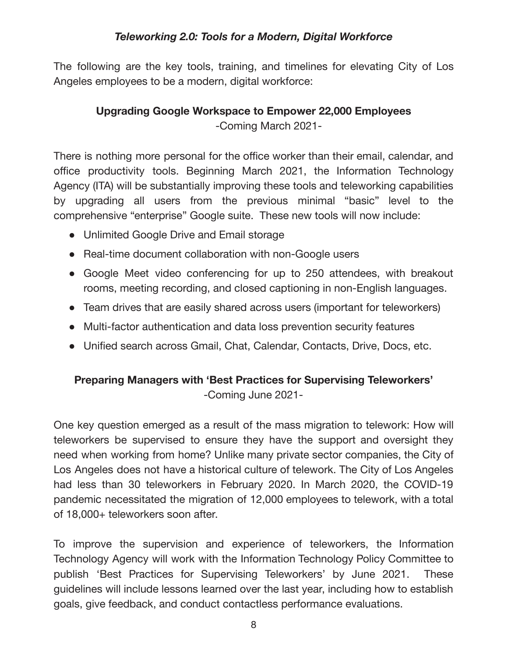### *Teleworking 2.0: Tools for a Modern, Digital Workforce*

The following are the key tools, training, and timelines for elevating City of Los Angeles employees to be a modern, digital workforce:

# **Upgrading Google Workspace to Empower 22,000 Employees** -Coming March 2021-

There is nothing more personal for the office worker than their email, calendar, and office productivity tools. Beginning March 2021, the Information Technology Agency (ITA) will be substantially improving these tools and teleworking capabilities by upgrading all users from the previous minimal "basic" level to the comprehensive "enterprise" Google suite. These new tools will now include:

- Unlimited Google Drive and Email storage
- Real-time document collaboration with non-Google users
- Google Meet video conferencing for up to 250 attendees, with breakout rooms, meeting recording, and closed captioning in non-English languages.
- Team drives that are easily shared across users (important for teleworkers)
- Multi-factor authentication and data loss prevention security features
- Unified search across Gmail, Chat, Calendar, Contacts, Drive, Docs, etc.

# **Preparing Managers with 'Best Practices for Supervising Teleworkers' bb** -Coming June 2021-

One key question emerged as a result of the mass migration to telework: How will teleworkers be supervised to ensure they have the support and oversight they need when working from home? Unlike many private sector companies, the City of Los Angeles does not have a historical culture of telework. The City of Los Angeles had less than 30 teleworkers in February 2020. In March 2020, the COVID-19 pandemic necessitated the migration of 12,000 employees to telework, with a total of 18,000+ teleworkers soon after.

To improve the supervision and experience of teleworkers, the Information Technology Agency will work with the Information Technology Policy Committee to publish 'Best Practices for Supervising Teleworkers' by June 2021. These guidelines will include lessons learned over the last year, including how to establish goals, give feedback, and conduct contactless performance evaluations.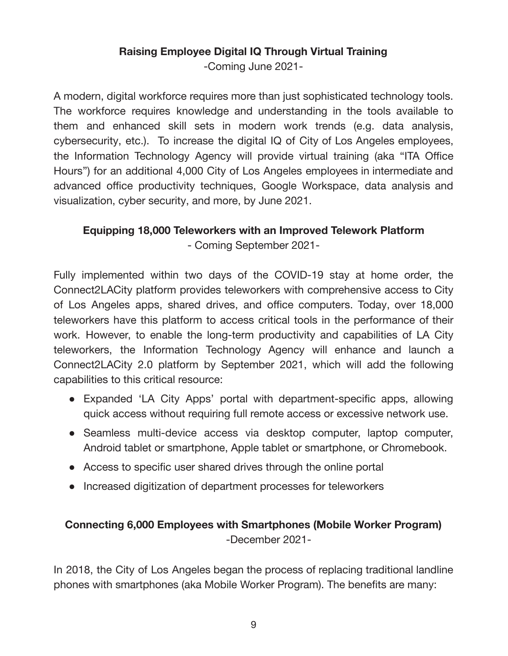# **Raising Employee Digital IQ Through Virtual Training**

-Coming June 2021-

A modern, digital workforce requires more than just sophisticated technology tools. The workforce requires knowledge and understanding in the tools available to them and enhanced skill sets in modern work trends (e.g. data analysis, cybersecurity, etc.). To increase the digital IQ of City of Los Angeles employees, the Information Technology Agency will provide virtual training (aka "ITA Office Hours") for an additional 4,000 City of Los Angeles employees in intermediate and advanced office productivity techniques, Google Workspace, data analysis and visualization, cyber security, and more, by June 2021.

# **Equipping 18,000 Teleworkers with an Improved Telework Platform bb**

- Coming September 2021-

Fully implemented within two days of the COVID-19 stay at home order, the Connect2LACity platform provides teleworkers with comprehensive access to City of Los Angeles apps, shared drives, and office computers. Today, over 18,000 teleworkers have this platform to access critical tools in the performance of their work. However, to enable the long-term productivity and capabilities of LA City teleworkers, the Information Technology Agency will enhance and launch a Connect2LACity 2.0 platform by September 2021, which will add the following capabilities to this critical resource:

- Expanded 'LA City Apps' portal with department-specific apps, allowing quick access without requiring full remote access or excessive network use.
- Seamless multi-device access via desktop computer, laptop computer, Android tablet or smartphone, Apple tablet or smartphone, or Chromebook.
- Access to specific user shared drives through the online portal
- Increased digitization of department processes for teleworkers

# **Connecting 6,000 Employees with Smartphones (Mobile Worker Program)** -December 2021-

In 2018, the City of Los Angeles began the process of replacing traditional landline phones with smartphones (aka Mobile Worker Program). The benefits are many: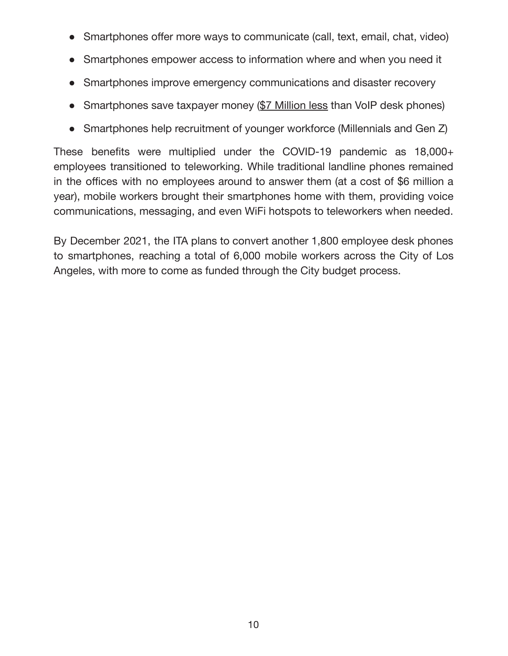- Smartphones offer more ways to communicate (call, text, email, chat, video)
- Smartphones empower access to information where and when you need it
- Smartphones improve emergency communications and disaster recovery
- Smartphones save taxpayer money (\$7 Million less than VoIP desk phones)
- Smartphones help recruitment of younger workforce (Millennials and Gen Z)

These benefits were multiplied under the COVID-19 pandemic as  $18,000+$ employees transitioned to teleworking. While traditional landline phones remained in the offices with no employees around to answer them (at a cost of \$6 million a year), mobile workers brought their smartphones home with them, providing voice communications, messaging, and even WiFi hotspots to teleworkers when needed.

By December 2021, the ITA plans to convert another 1,800 employee desk phones to smartphones, reaching a total of 6,000 mobile workers across the City of Los Angeles, with more to come as funded through the City budget process.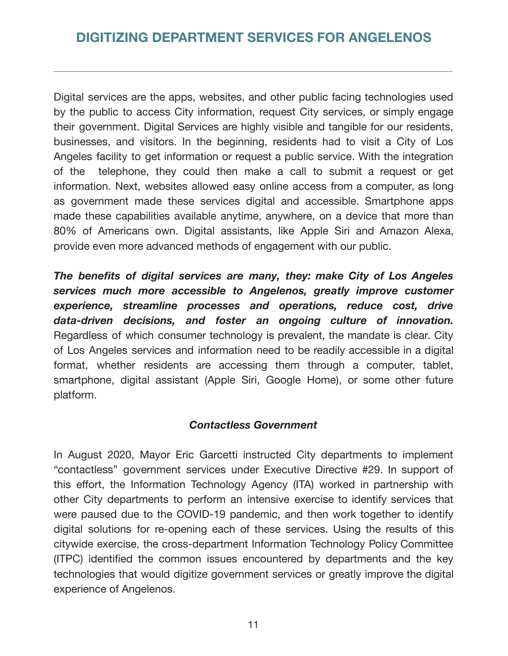\_\_\_\_\_\_\_\_\_\_\_\_\_\_\_\_\_\_\_\_\_\_\_\_\_\_\_\_\_\_\_\_\_\_\_\_\_\_\_\_\_\_\_\_\_\_\_\_\_\_\_\_\_\_\_\_\_\_\_\_\_\_\_\_\_\_\_\_\_\_\_\_\_\_

Digital services are the apps, websites, and other public facing technologies used by the public to access City information, request City services, or simply engage their government. Digital Services are highly visible and tangible for our residents, businesses, and visitors. In the beginning, residents had to visit a City of Los Angeles facility to get information or request a public service. With the integration of the telephone, they could then make a call to submit a request or get information. Next, web sites allowed easy online access from a computer, as long as government made these services digital and accessible. Smartphone apps made these capabilities available anytime, anywhere, on a device that more than 80% of Americans own. Digital assistants, like Apple Siri and Amazon Alexa, provide even more advanced methods of engagement with our public.

The benefits of digital services are many, they: make City of Los Angeles *services much more accessible to Angelenos, greatly improve customer experience, streamline processes and operations, reduce cost, drive data-driven decisions, and foster an ongoing culture of innovation.* Regardless of which consumer technology is prevalent, the mandate is clear. City of Los Angeles services and information need to be readily accessible in a digital format, whether residents are accessing them through a computer, tablet, smartphone, digital assistant (Apple Siri, Google Home), or some other future platform.

#### *Contactless Government*

In August 2020, Mayor Eric Garcetti instructed City departments to implement "contactless" government services under Executive Directive #29. In support of this effort, the Information Technology Agency (ITA) worked in partnership with other City departments to perform an intensive exercise to identify services that were paused due to the COVID-19 pandemic, and then work together to identify digital solutions for re-opening each of these services. Using the results of this citywide exercise, the cross-department Information Technology Policy Committee (ITPC) identified the common issues encountered by departments and the key technologies that would digitize government services or greatly improve the digital experience of Angelenos.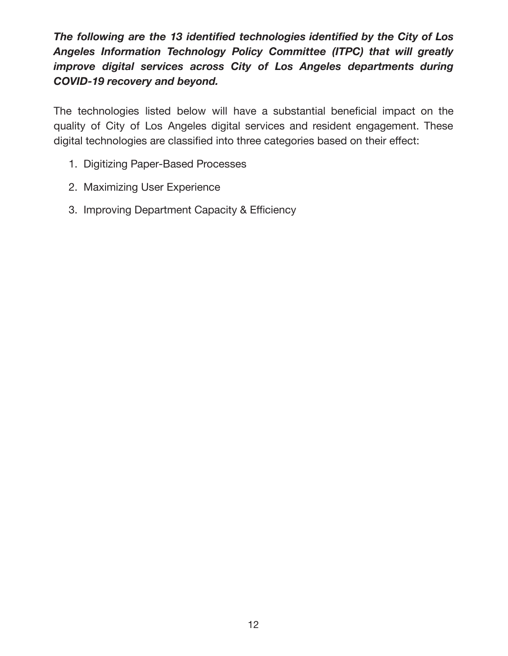The *following are the 13 identified technologies identified by the City of Los* Angeles Information Technology Policy Committee (ITPC) that will greatly *improve digital services across City of Los Angeles departments during COVID-19 recovery and beyond.* 

The technologies listed below will have a substantial beneficial impact on the quality of City of Los Angeles digital services and resident engagement. These digital technologies are classified into three categories based on their effect:

- 1. Digitizing Paper-Based Processes
- 2. Maximizing User Experience
- 3. Improving Department Capacity & Efficiency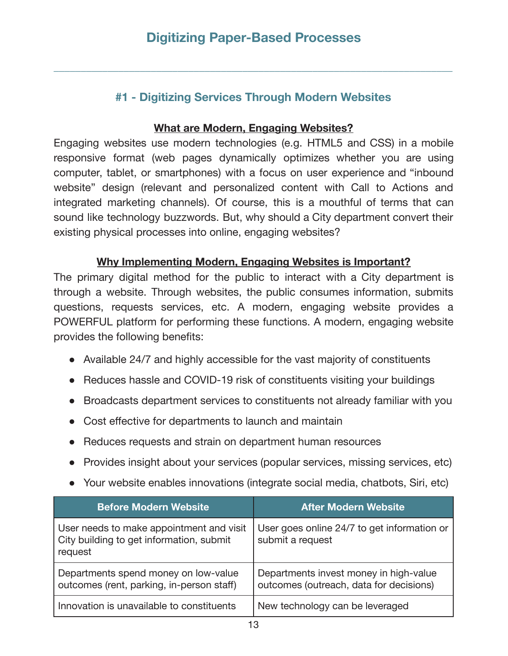\_\_\_\_\_\_\_\_\_\_\_\_\_\_\_\_\_\_\_\_\_\_\_\_\_\_\_\_\_\_\_\_\_\_\_\_\_\_\_\_\_\_\_\_\_\_\_\_\_\_\_\_\_\_\_\_\_\_\_\_\_\_\_\_\_\_\_\_\_\_\_\_\_\_

# **#1 - Digitizing Services Through Modern Websites**

#### **What are Modern, Engaging Websites?**

Engaging websites use modern technologies (e.g. HTML5 and CSS) in a mobile responsive format (web pages dynamically optimizes whether you are using computer, tablet, or smartphones) with a focus on user experience and "inbound website" design (relevant and personalized content with Call to Actions and integrated marketing channels). Of course, this is a mouthful of terms that can sound like technology buzzwords. But, why should a City department convert their existing physical processes into online, engaging websites?

#### **Why Implementing Modern, Engaging Websites is Important?**

The primary digital method for the public to interact with a City department is through a website. Through websites, the public consumes information, submits questions, requests services, etc. A modern, engaging website provides a POWERFUL platform for performing these functions. A modern, engaging website provides the following benefits:

- Available 24/7 and highly accessible for the vast majority of constituents
- Reduces hassle and COVID-19 risk of constituents visiting your buildings
- Broadcasts department services to constituents not already familiar with you
- Cost effective for departments to launch and maintain
- Reduces requests and strain on department human resources
- Provides insight about your services (popular services, missing services, etc)
- Your website enables innovations (integrate social media, chatbots, Siri, etc)

| <b>Before Modern Website</b>                                                                    | <b>After Modern Website</b>                                                       |
|-------------------------------------------------------------------------------------------------|-----------------------------------------------------------------------------------|
| User needs to make appointment and visit<br>City building to get information, submit<br>request | User goes online 24/7 to get information or<br>submit a request                   |
| Departments spend money on low-value<br>outcomes (rent, parking, in-person staff)               | Departments invest money in high-value<br>outcomes (outreach, data for decisions) |
| Innovation is unavailable to constituents                                                       | New technology can be leveraged                                                   |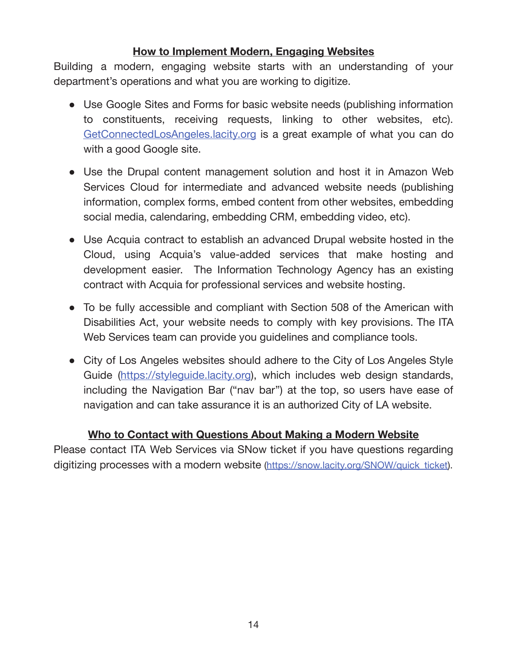# **How to Implement Modern, Engaging Websites**

Building a modern, engaging website starts with an understanding of your department's operations and what you are working to digitize.

- Use Google Sites and Forms for basic website needs (publishing information to constituents, receiving requests, linking to other websites, etc). GetConnectedLosAngeles.lacity.org is a great example of what you can do with a good Google site.
- Use the Drupal content management solution and host it in Amazon Web Services Cloud for intermediate and advanced website needs (publishing information, complex forms, embed content from other websites, embedding social media, calendaring, embedding CRM, embedding video, etc).
- Use Acquia contract to establish an advanced Drupal website hosted in the Cloud, using Acquia's value-added services that make hosting and development easier. The Information Technology Agency has an existing contract with Acquia for professional services and website hosting.
- To be fully accessible and compliant with Section 508 of the American with Disabilities Act, your website needs to comply with key provisions. The ITA Web Services team can provide you guidelines and compliance tools.
- City of Los Angeles websites should adhere to the City of Los Angeles Style Guide (https://styleguide.lacity.org), which includes web design standards, including the Navigation Bar ("nav bar") at the top, so users have ease of navigation and can take assurance it is an authorized City of LA website.

#### **Who to Contact with Questions About Making a Modern Website**

Please contact ITA Web Services via SNow ticket if you have questions regarding digitizing processes with a modern website (https://snow.lacity.org/SNOW/quick ticket).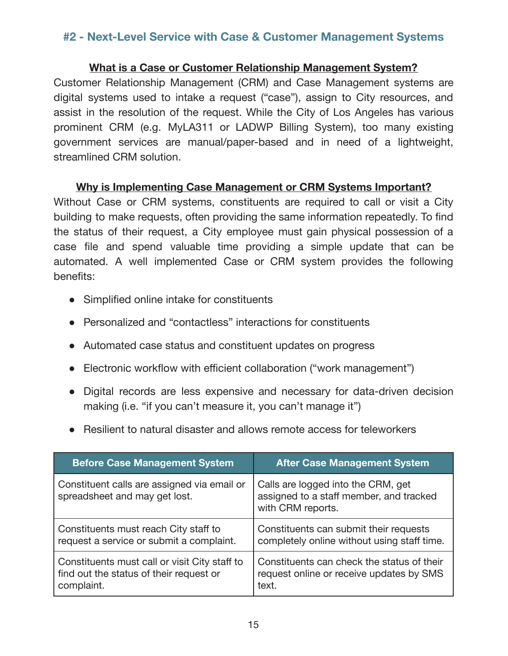# **#2 - Next-Level Service with Case & Customer Management Systems**

#### **What is a Case or Customer Relationship Management System?**

Customer Relationship Management (CRM) and Case Management systems are digital systems used to intake a request ("case"), assign to City resources, and assist in the resolution of the request. While the City of Los Angeles has various prominent CRM (e.g. MyLA311 or LADWP Billing System), too many existing government services are manual/paper-based and in need of a lightweight, streamlined CRM solution.

#### **Why is Implementing Case Management or CRM Systems Important?**

Without Case or CRM systems, constituents are required to call or visit a City building to make requests, often providing the same information repeatedly. To find the status of their request, a City employee must gain physical possession of a case file and spend valuable time providing a simple update that can be automated. A well implemented Case or CRM system provides the following benefits:

- Simplified online intake for constituents
- Personalized and "contactless" interactions for constituents
- Automated case status and constituent updates on progress
- Electronic workflow with efficient collaboration ("work management")
- Digital records are less expensive and necessary for data-driven decision making (i.e. "if you can't measure it, you can't manage it")
- Resilient to natural disaster and allows remote access for teleworkers

| <b>Before Case Management System</b>                                         | <b>After Case Management System</b>                                                                |
|------------------------------------------------------------------------------|----------------------------------------------------------------------------------------------------|
| Constituent calls are assigned via email or<br>spreadsheet and may get lost. | Calls are logged into the CRM, get<br>assigned to a staff member, and tracked<br>with CRM reports. |
| Constituents must reach City staff to                                        | Constituents can submit their requests                                                             |
| request a service or submit a complaint.                                     | completely online without using staff time.                                                        |
| Constituents must call or visit City staff to                                | Constituents can check the status of their                                                         |
| find out the status of their request or                                      | request online or receive updates by SMS                                                           |
| complaint.                                                                   | text.                                                                                              |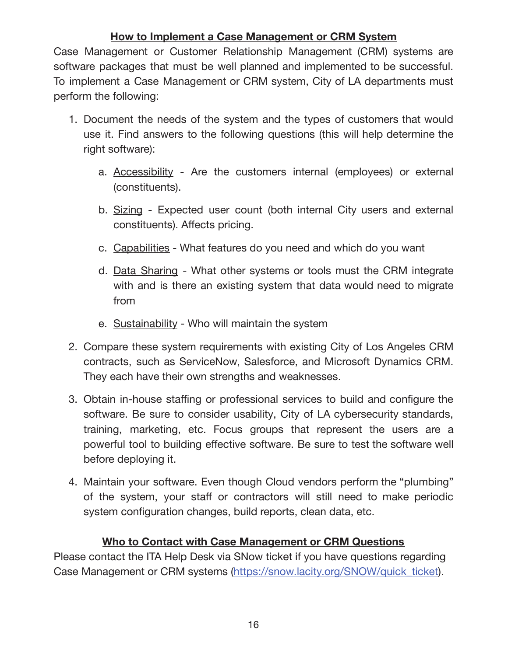# **How to Implement a Case Management or CRM System**

Case Management or Customer Relationship Management (CRM) systems are software packages that must be well planned and implemented to be successful. To implement a Case Management or CRM system, City of LA departments must perform the following:

- 1. Document the needs of the system and the types of customers that would use it. Find answers to the following questions (this will help determine the right software):
	- a. Accessibility Are the customers internal (employees) or external (constituents).
	- b. Sizing Expected user count (both internal City users and external constituents). Affects pricing.
	- c. Capabilities What features do you need and which do you want
	- d. Data Sharing What other systems or tools must the CRM integrate with and is there an existing system that data would need to migrate from
	- e. Sustainability Who will maintain the system
- 2. Compare these system requirements with existing City of Los Angeles CRM contracts, such as ServiceNow, Salesforce, and Microsoft Dynamics CRM. They each have their own strengths and weaknesses.
- 3. Obtain in-house staffing or professional services to build and configure the software. Be sure to consider usability, City of LA cybersecurity standards, training, marketing, etc. Focus groups that represent the users are a powerful tool to building effective software. Be sure to test the software well before deploying it.
- 4. Maintain your software. Even though Cloud vendors perform the "plumbing" of the system, your staff or contractors will still need to make periodic system configuration changes, build reports, clean data, etc.

# **Who to Contact with Case Management or CRM Questions**

Please contact the ITA Help Desk via SNow ticket if you have questions regarding Case Management or CRM systems (https://snow.lacity.org/SNOW/quick\_ticket).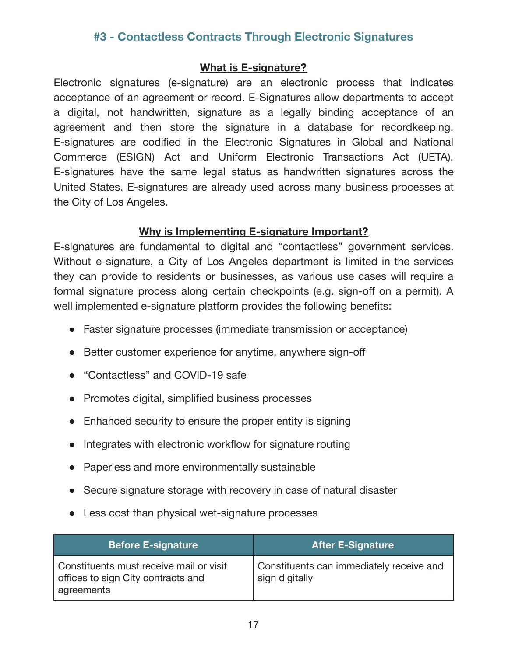# **#3 - Contactless Contracts Through Electronic Signatures**

#### **What is E-signature?**

Electronic signatures (e-signature) are an electronic process that indicates acceptance of an agreement or record. E-Signatures allow departments to accept a digital, not handwritten, signature as a legally binding acceptance of an agreement and then store the signature in a database for recordkeeping. E-signatures are codified in the Electronic Signatures in Global and National Commerce (ESIGN) Act and Uniform Electronic Transactions Act (UETA). E-signatures have the same legal status as handwritten signatures across the United States. E-signatures are already used across many business processes at the City of Los Angeles.

#### **Why is Implementing E-signature Important?**

E-signatures are fundamental to digital and "contactless" government services. Without e-signature, a City of Los Angeles department is limited in the services they can provide to residents or businesses, as various use cases will require a formal signature process along certain checkpoints (e.g. sign-off on a permit). A well implemented e-signature platform provides the following benefits:

- Faster signature processes (immediate transmission or acceptance)
- Better customer experience for anytime, anywhere sign-off
- "Contactless" and COVID-19 safe
- Promotes digital, simplified business processes
- Enhanced security to ensure the proper entity is signing
- Integrates with electronic workflow for signature routing
- Paperless and more environmentally sustainable
- Secure signature storage with recovery in case of natural disaster
- Less cost than physical wet-signature processes

| <b>Before E-signature</b>                                                                   | <b>After E-Signature</b>                                   |
|---------------------------------------------------------------------------------------------|------------------------------------------------------------|
| Constituents must receive mail or visit<br>offices to sign City contracts and<br>agreements | Constituents can immediately receive and<br>sign digitally |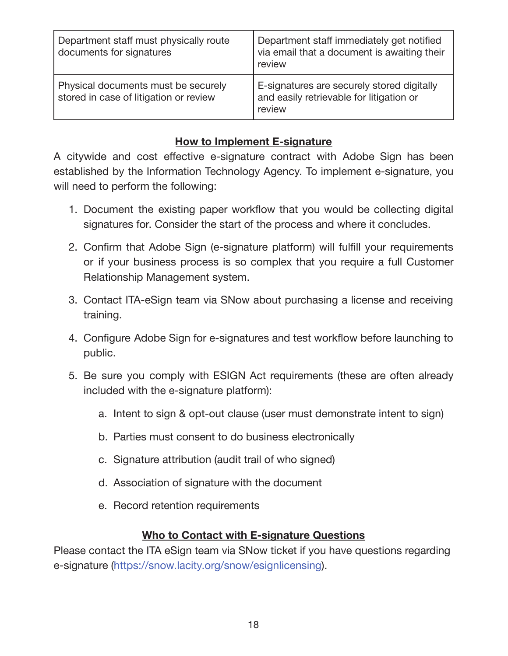| Department staff must physically route<br>documents for signatures            | Department staff immediately get notified<br>via email that a document is awaiting their<br>review |
|-------------------------------------------------------------------------------|----------------------------------------------------------------------------------------------------|
| Physical documents must be securely<br>stored in case of litigation or review | E-signatures are securely stored digitally<br>and easily retrievable for litigation or<br>review   |

# **How to Implement E-signature**

A citywide and cost effective e-signature contract with Adobe Sign has been established by the Information Technology Agency. To implement e-signature, you will need to perform the following:

- 1. Document the existing paper workflow that you would be collecting digital signatures for. Consider the start of the process and where it concludes.
- 2. Confirm that Adobe Sign (e-signature platform) will fulfill your requirements or if your business process is so complex that you require a full Customer Relationship Management system.
- 3. Contact ITA-eSign team via SNow about purchasing a license and receiving training.
- 4. Configure Adobe Sign for e-signatures and test workflow before launching to public.
- 5. Be sure you comply with ESIGN Act requirements (these are often already included with the e-signature platform):
	- a. Intent to sign & opt-out clause (user must demonstrate intent to sign)
	- b. Parties must consent to do business electronically
	- c. Signature attribution (audit trail of who signed)
	- d. Association of signature with the document
	- e. Record retention requirements

#### **Who to Contact with E-signature Questions**

Please contact the ITA eSign team via SNow ticket if you have questions regarding e-signature (https://snow.lacity.org/snow/esignlicensing).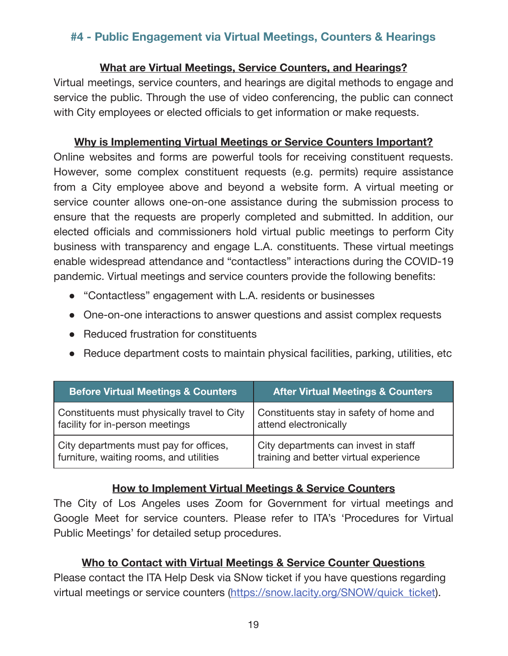# **#4 - Public Engagement via Virtual Meetings, Counters & Hearings**

#### **What are Virtual Meetings, Service Counters, and Hearings?**

Virtual meetings, service counters, and hearings are digital methods to engage and service the public. Through the use of video conferencing, the public can connect with City employees or elected officials to get information or make requests.

#### **Why is Implementing Virtual Meetings or Service Counters Important?**

Online web sites and forms are powerful tools for receiving constituent requests. However, some complex constituent requests (e.g. permits) require assistance from a City employee above and beyond a website form. A virtual meeting or service counter allows one-on-one assistance during the submission process to ensure that the requests are properly completed and submitted. In addition, our elected officials and commissioners hold virtual public meetings to perform City business with transparency and engage L.A. constituents. These virtual meetings enable widespread attendance and "contactless" interactions during the COVID-19 pandemic. Virtual meetings and service counters provide the following benefits:

- "Contactless" engagement with L.A. residents or businesses
- One-on-one interactions to answer questions and assist complex requests
- Reduced frustration for constituents
- Reduce department costs to maintain physical facilities, parking, utilities, etc

| <b>Before Virtual Meetings &amp; Counters</b> | <b>After Virtual Meetings &amp; Counters</b> |
|-----------------------------------------------|----------------------------------------------|
| Constituents must physically travel to City   | Constituents stay in safety of home and      |
| facility for in-person meetings               | attend electronically                        |
| City departments must pay for offices,        | City departments can invest in staff         |
| furniture, waiting rooms, and utilities       | training and better virtual experience       |

#### **How to Implement Virtual Meetings & Service Counters**

The City of Los Angeles uses Zoom for Government for virtual meetings and Google Meet for service counters. Please refer to ITA's 'Procedures for Virtual Public Meetings' for detailed setup procedures.

#### **Who to Contact with Virtual Meetings & Service Counter Questions**

Please contact the ITA Help Desk via SNow ticket if you have questions regarding virtual meetings or service counters (https://snow.lacity.org/SNOW/quick\_ticket).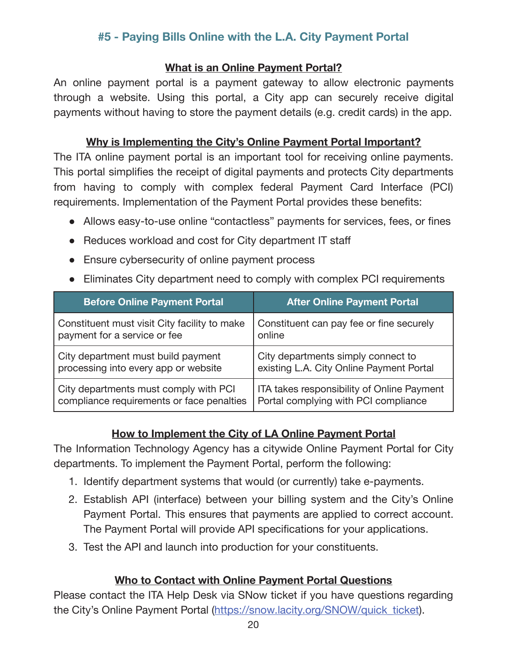# **#5 - Paying Bills Online with the L.A. City Payment Portal**

#### **What is an Online Payment Portal?**

An online payment portal is a payment gateway to allow electronic payments through a website. Using this portal, a City app can securely receive digital payments without having to store the payment details (e.g. credit cards) in the app.

#### **Why is Implementing the City's Online Payment Portal Important?**

The ITA online payment portal is an important tool for receiving online payments. This portal simplifies the receipt of digital payments and protects City departments from having to comply with complex federal Payment Card Interface (PCI) requirements. Implementation of the Payment Portal provides these benefits:

- Allows easy-to-use online "contactless" payments for services, fees, or fines
- Reduces workload and cost for City department IT staff
- Ensure cybersecurity of online payment process
- Eliminates City department need to comply with complex PCI requirements

| <b>Before Online Payment Portal</b>          | <b>After Online Payment Portal</b>         |
|----------------------------------------------|--------------------------------------------|
| Constituent must visit City facility to make | Constituent can pay fee or fine securely   |
| payment for a service or fee                 | online                                     |
| City department must build payment           | City departments simply connect to         |
| processing into every app or website         | existing L.A. City Online Payment Portal   |
| City departments must comply with PCI        | ITA takes responsibility of Online Payment |
| compliance requirements or face penalties    | Portal complying with PCI compliance       |

# **How to Implement the City of LA Online Payment Portal**

The Information Technology Agency has a citywide Online Payment Portal for City departments. To implement the Payment Portal, perform the following:

- 1. Identify department systems that would (or currently) take e-payments.
- 2. Establish API (interface) between your billing system and the City's Online Payment Portal. This ensures that payments are applied to correct account. The Payment Portal will provide API specifications for your applications.
- 3. Test the API and launch into production for your constituents.

# **Who to Contact with Online Payment Portal Questions**

Please contact the ITA Help Desk via SNow ticket if you have questions regarding the City's Online Payment Portal (https://snow.lacity.org/SNOW/quick\_ticket).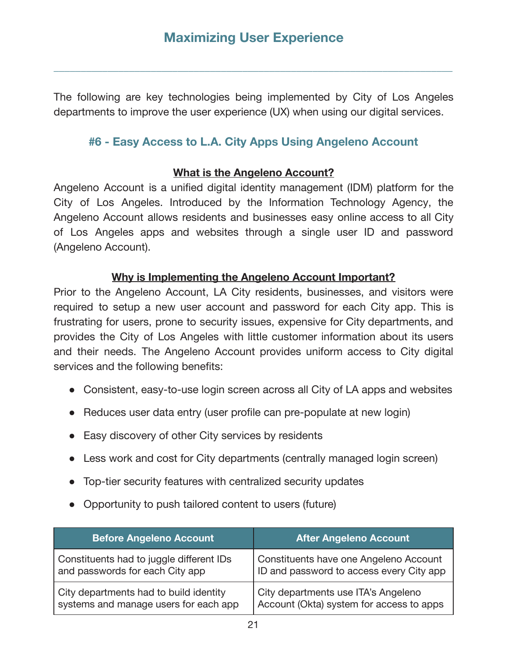**\_\_\_\_\_\_\_\_\_\_\_\_\_\_\_\_\_\_\_\_\_\_\_\_\_\_\_\_\_\_\_\_\_\_\_\_\_\_\_\_\_\_\_\_\_\_\_\_\_\_\_\_\_\_\_\_\_\_\_\_\_\_\_\_\_\_\_\_\_\_\_\_\_\_** 

The following are key technologies being implemented by City of Los Angeles departments to improve the user experience (UX) when using our digital services.

# **#6 - Easy Access to L.A. City Apps Using Angeleno Account**

#### **What is the Angeleno Account?**

Angeleno Account is a unified digital identity management (IDM) platform for the City of Los Angeles. Introduced by the Information Technology Agency, the Angeleno Account allows residents and businesses easy online access to all City of Los Angeles apps and websites through a single user ID and password (Angeleno Account).

#### **Why is Implementing the Angeleno Account Important?**

Prior to the Angeleno Account, LA City residents, businesses, and visitors were required to setup a new user account and password for each City app. This is frustrating for users, prone to security issues, expensive for City departments, and provides the City of Los Angeles with little customer information about its users and their needs. The Angeleno Account provides uniform access to City digital services and the following benefits:

- Consistent, easy-to-use login screen across all City of LA apps and websites
- Reduces user data entry (user profile can pre-populate at new login)
- Easy discovery of other City services by residents
- Less work and cost for City departments (centrally managed login screen)
- Top-tier security features with centralized security updates
- Opportunity to push tailored content to users (future)

| <b>Before Angeleno Account</b>           | <b>After Angeleno Account</b>            |
|------------------------------------------|------------------------------------------|
| Constituents had to juggle different IDs | Constituents have one Angeleno Account   |
| and passwords for each City app          | ID and password to access every City app |
| City departments had to build identity   | City departments use ITA's Angeleno      |
| systems and manage users for each app    | Account (Okta) system for access to apps |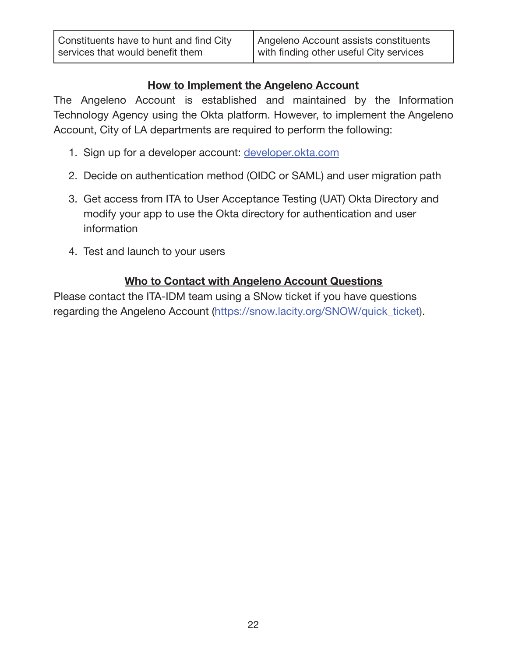#### **How to Implement the Angeleno Account**

The Angeleno Account is established and maintained by the Information Technology Agency using the Okta platform. However, to implement the Angeleno Account, City of LA departments are required to perform the following:

- 1. Sign up for a developer account: developer.okta.com
- 2. Decide on authentication method (OIDC or SAML) and user migration path
- 3. Get access from ITA to User Acceptance Testing (UAT) Okta Directory and modify your app to use the Okta directory for authentication and user information
- 4. Test and launch to your users

# **Who to Contact with Angeleno Account Questions**

Please contact the ITA-IDM team using a SNow ticket if you have questions regarding the Angeleno Account (https://snow.lacity.org/SNOW/quick\_ticket).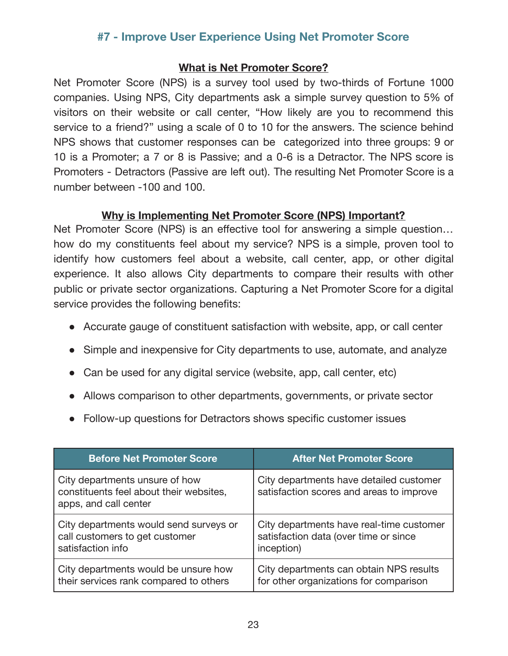# **#7 - Improve User Experience Using Net Promoter Score**

#### **What is Net Promoter Score?**

Net Promoter Score (NPS) is a survey tool used by two-thirds of Fortune 1000 companies. Using NPS, City departments ask a simple survey question to 5% of visitors on their website or call center, "How likely are you to recommend this service to a friend?" using a scale of 0 to 10 for the answers. The science behind NPS shows that customer responses can be categorized into three groups: 9 or 10 is a Promoter; a 7 or 8 is Passive; and a 0-6 is a Detractor. The NPS score is Promoters - Detractors (Passive are left out). The resulting Net Promoter Score is a number between -100 and 100.

#### **Why is Implementing Net Promoter Score (NPS) Important?**

Net Promoter Score (NPS) is an effective tool for answering a simple question... how do my constituents feel about my service? NPS is a simple, proven tool to identify how customers feel about a website, call center, app, or other digital experience. It also allows City departments to compare their results with other public or private sector organizations. Capturing a Net Promoter Score for a digital service provides the following benefits:

- Accurate gauge of constituent satisfaction with website, app, or call center
- Simple and inexpensive for City departments to use, automate, and analyze
- Can be used for any digital service (website, app, call center, etc)
- Allows comparison to other departments, governments, or private sector
- Follow-up questions for Detractors shows specific customer issues

| <b>Before Net Promoter Score</b>                                                                   | <b>After Net Promoter Score</b>                                                     |
|----------------------------------------------------------------------------------------------------|-------------------------------------------------------------------------------------|
| City departments unsure of how<br>constituents feel about their websites,<br>apps, and call center | City departments have detailed customer<br>satisfaction scores and areas to improve |
| City departments would send surveys or                                                             | City departments have real-time customer                                            |
| call customers to get customer                                                                     | satisfaction data (over time or since                                               |
| satisfaction info                                                                                  | inception)                                                                          |
| City departments would be unsure how                                                               | City departments can obtain NPS results                                             |
| their services rank compared to others                                                             | for other organizations for comparison                                              |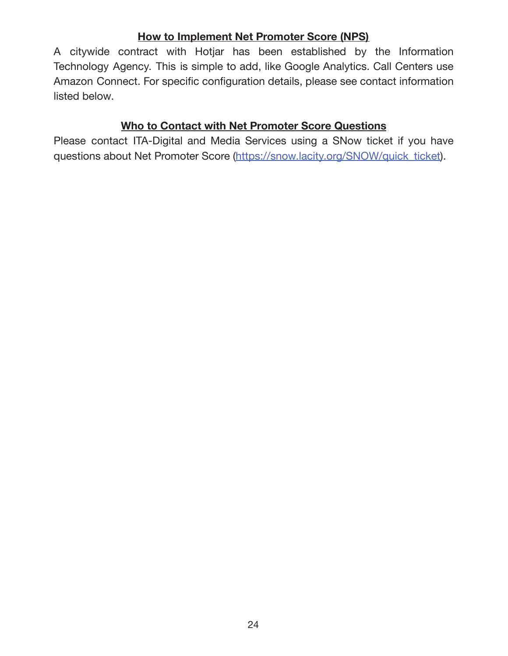#### **How to Implement Net Promoter Score (NPS)**

A citywide contract with Hotjar has been established by the Information Technology Agency. This is simple to add, like Google Analytics. Call Centers use Amazon Connect. For specific configuration details, please see contact information listed below.

# **Who to Contact with Net Promoter Score Questions**

Please contact ITA-Digital and Media Services using a SNow ticket if you have questions about Net Promoter Score (https://snow.lacity.org/SNOW/quick\_ticket).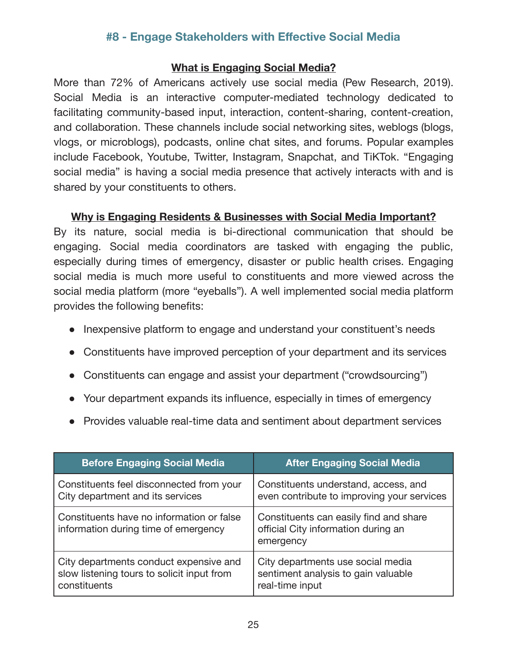# **#8 - Engage Stakeholders with Effective Social Media**

#### **What is Engaging Social Media?**

More than 72% of Americans actively use social media (Pew Research, 2019). Social Media is an interactive computer-mediated technology dedicated to facilitating community-based input, interaction, content-sharing, content-creation, and collaboration. These channels include social networking sites, weblogs (blogs, vlogs, or microblogs), podcasts, online chat sites, and forums. Popular examples include Facebook, Youtube, Twitter, Instagram, Snapchat, and TiKTok. "Engaging social media" is having a social media presence that actively interacts with and is shared by your constituents to others.

#### **Why is Engaging Residents & Businesses with Social Media Important?**

By its nature, social media is bi-directional communication that should be engaging. Social media coordinators are tasked with engaging the public, especially during times of emergency, disaster or public health crises. Engaging social media is much more useful to constituents and more viewed across the social media platform (more "eyeballs"). A well implemented social media platform provides the following benefits:

- Inexpensive platform to engage and understand your constituent's needs
- Constituents have improved perception of your department and its services
- Constituents can engage and assist your department ("crowdsourcing")
- Your department expands its influence, especially in times of emergency
- Provides valuable real-time data and sentiment about department services

| <b>Before Engaging Social Media</b>                                               | <b>After Engaging Social Media</b>                                                         |
|-----------------------------------------------------------------------------------|--------------------------------------------------------------------------------------------|
| Constituents feel disconnected from your                                          | Constituents understand, access, and                                                       |
| City department and its services                                                  | even contribute to improving your services                                                 |
| Constituents have no information or false<br>information during time of emergency | Constituents can easily find and share<br>official City information during an<br>emergency |
| City departments conduct expensive and                                            | City departments use social media                                                          |
| slow listening tours to solicit input from                                        | sentiment analysis to gain valuable                                                        |
| constituents                                                                      | real-time input                                                                            |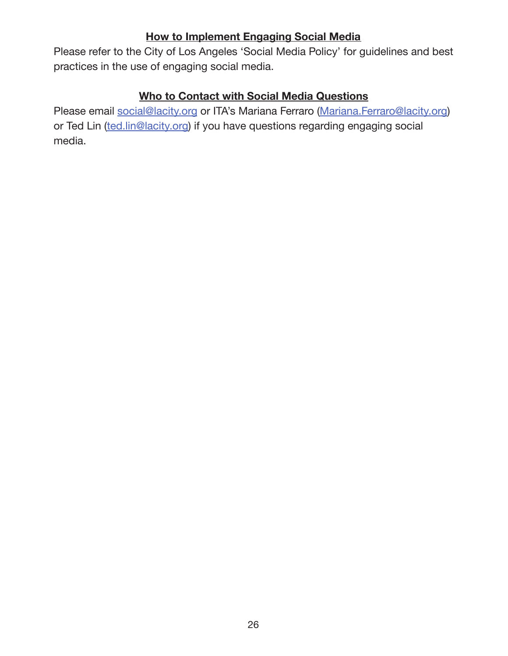# **How to Implement Engaging Social Media**

Please refer to the City of Los Angeles 'Social Media Policy' for guidelines and best practices in the use of engaging social media.

#### **Who to Contact with Social Media Questions**

Please email social@lacity.org or ITA's Mariana Ferraro (Mariana.Ferraro@lacity.org) or Ted Lin (ted.lin@lacity.org) if you have questions regarding engaging social media.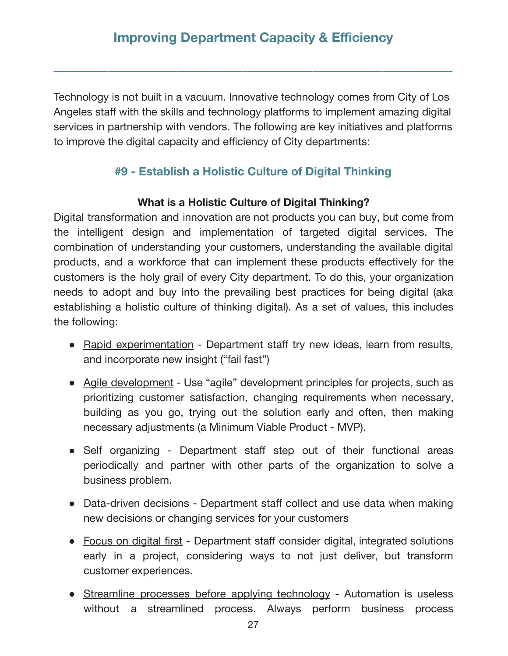**\_\_\_\_\_\_\_\_\_\_\_\_\_\_\_\_\_\_\_\_\_\_\_\_\_\_\_\_\_\_\_\_\_\_\_\_\_\_\_\_\_\_\_\_\_\_\_\_\_\_\_\_\_\_\_\_\_\_\_\_\_\_\_\_\_\_\_\_\_\_\_\_\_\_** 

Technology is not built in a vacuum. Innovative technology comes from City of Los Angeles staff with the skills and technology platforms to implement amazing digital services in partnership with vendors. The following are key initiatives and platforms to improve the digital capacity and efficiency of City departments:

# **#9 - Establish a Holistic Culture of Digital Thinking**

#### **What is a Holistic Culture of Digital Thinking?**

Digital transformation and innovation are not products you can buy, but come from the intelligent design and implementation of targeted digital services. The combination of understanding your customers, understanding the available digital products, and a workforce that can implement these products effectively for the customers is the holy grail of every City department. To do this, your organization needs to adopt and buy into the prevailing best practices for being digital (aka establishing a holistic culture of thinking digital). As a set of values, this includes the following:

- Rapid experimentation Department staff try new ideas, learn from results, and incorporate new insight ("fail fast")
- Agile development Use "agile" development principles for projects, such as prioritizing customer satisfaction, changing requirements when necessary, building as you go, trying out the solution early and often, then making necessary adjustments (a Minimum Viable Product - MVP). bb
- Self organizing Department staff step out of their functional areas periodically and partner with other parts of the organization to solve a business problem.
- Data-driven decisions Department staff collect and use data when making new decisions or changing services for your customers
- Focus on digital first Department staff consider digital, integrated solutions early in a project, considering ways to not just deliver, but transform customer experiences.
- Streamline processes before applying technology Automation is useless without a streamlined process. Always perform business process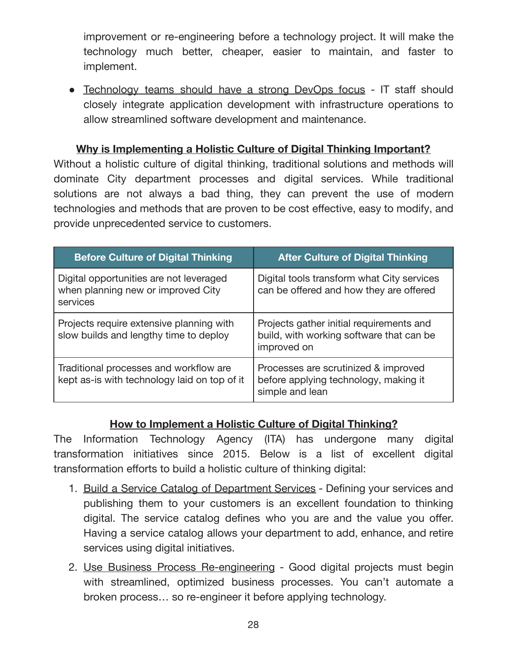improvement or re-engineering before a technology project. It will make the technology much better, cheaper, easier to maintain, and faster to implement.

• Technology teams should have a strong DevOps focus - IT staff should closely integrate application development with infrastructure operations to allow streamlined software development and maintenance.

#### **Why is Implementing a Holistic Culture of Digital Thinking Important?**

Without a holistic culture of digital thinking, traditional solutions and methods will dominate City department processes and digital services. While traditional solutions are not always a bad thing, they can prevent the use of modern technologies and methods that are proven to be cost effective, easy to modify, and provide unprecedented service to customers.

| <b>Before Culture of Digital Thinking</b>                                                 | <b>After Culture of Digital Thinking</b>                                                            |
|-------------------------------------------------------------------------------------------|-----------------------------------------------------------------------------------------------------|
| Digital opportunities are not leveraged<br>when planning new or improved City<br>services | Digital tools transform what City services<br>can be offered and how they are offered               |
| Projects require extensive planning with<br>slow builds and lengthy time to deploy        | Projects gather initial requirements and<br>build, with working software that can be<br>improved on |
| Traditional processes and workflow are<br>kept as-is with technology laid on top of it    | Processes are scrutinized & improved<br>before applying technology, making it<br>simple and lean    |

# **How to Implement a Holistic Culture of Digital Thinking?**

The Information Technology Agency (ITA) has undergone many digital transformation initiatives since 2015. Below is a list of excellent digital transformation efforts to build a holistic culture of thinking digital:

- 1. Build a Service Catalog of Department Services Defining your services and publishing them to your customers is an excellent foundation to thinking digital. The service catalog defines who you are and the value you offer. Having a service catalog allows your department to add, enhance, and retire services using digital initiatives.
- 2. Use Business Process Re-engineering Good digital projects must begin with streamlined, optimized business processes. You can't automate a broken process… so re-engineer it before applying technology.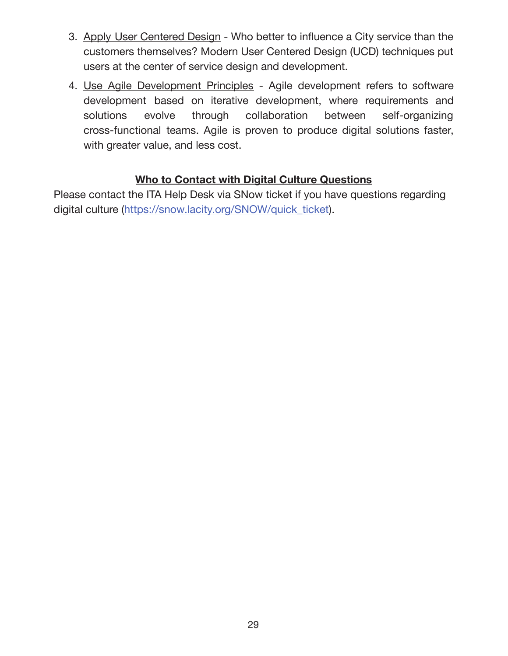- 3. Apply User Centered Design Who better to influence a City service than the customers themselves? Modern User Centered Design (UCD) techniques put users at the center of service design and development.
- 4. Use Agile Development Principles Agile development refers to software development based on iterative development, where requirements and solutions evolve through collaboration between self-organizing cross-functional teams. Agile is proven to produce digital solutions faster, with greater value, and less cost.

# **Who to Contact with Digital Culture Questions**

Please contact the ITA Help Desk via SNow ticket if you have questions regarding digital culture (https://snow.lacity.org/SNOW/quick\_ticket).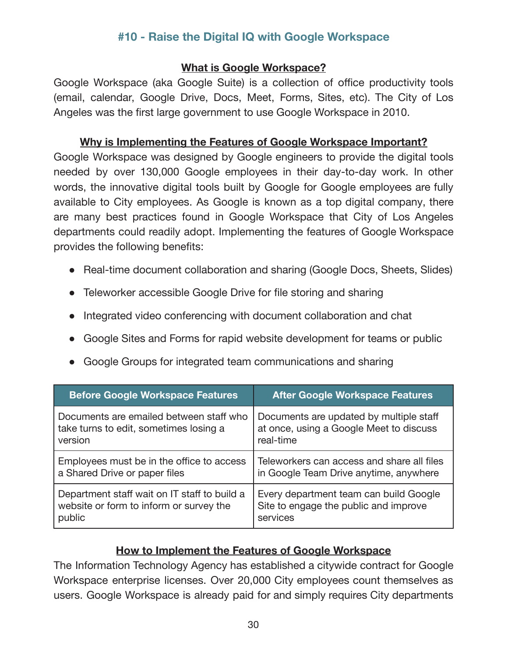# **#10 - Raise the Digital IQ with Google Workspace**

#### **What is Google Workspace?**

Google Workspace (aka Google Suite) is a collection of office productivity tools (email, calendar, Google Drive, Docs, Meet, Forms, Sites, etc). The City of Los Angeles was the first large government to use Google Workspace in 2010.

#### **Why is Implementing the Features of Google Workspace Important?**

Google Workspace was designed by Google engineers to provide the digital tools needed by over 130,000 Google employees in their day-to-day work. In other words, the innovative digital tools built by Google for Google employees are fully available to City employees. As Google is known as a top digital company, there are many best practices found in Google Workspace that City of Los Angeles departments could readily adopt. Implementing the features of Google Workspace provides the following benefits:

- Real-time document collaboration and sharing (Google Docs, Sheets, Slides)
- Teleworker accessible Google Drive for file storing and sharing
- Integrated video conferencing with document collaboration and chat
- Google Sites and Forms for rapid website development for teams or public
- Google Groups for integrated team communications and sharing

| <b>Before Google Workspace Features</b>      | <b>After Google Workspace Features</b>     |
|----------------------------------------------|--------------------------------------------|
| Documents are emailed between staff who      | Documents are updated by multiple staff    |
| take turns to edit, sometimes losing a       | at once, using a Google Meet to discuss    |
| version                                      | real-time                                  |
| Employees must be in the office to access    | Teleworkers can access and share all files |
| a Shared Drive or paper files                | in Google Team Drive anytime, anywhere     |
| Department staff wait on IT staff to build a | Every department team can build Google     |
| website or form to inform or survey the      | Site to engage the public and improve      |
| public                                       | services                                   |

# **How to Implement the Features of Google Workspace**

The Information Technology Agency has established a citywide contract for Google Workspace enterprise licenses. Over 20,000 City employees count themselves as users. Google Workspace is already paid for and simply requires City departments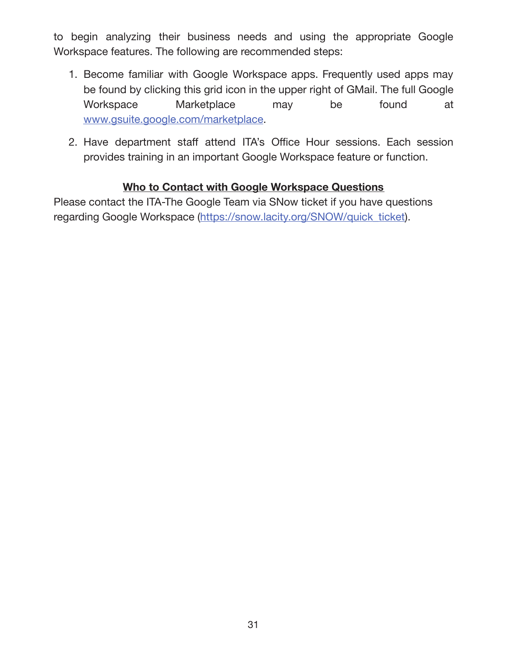to begin analyzing their business needs and using the appropriate Google Workspace features. The following are recommended steps:

- 1. Become familiar with Google Workspace apps. Frequently used apps may be found by clicking this grid icon in the upper right of GMail. The full Google Workspace Marketplace may be found at www.gsuite.google.com/marketplace .
- 2. Have department staff attend ITA's Office Hour sessions. Each session provides training in an important Google Workspace feature or function.

# **Who to Contact with Google Workspace Questions**

Please contact the ITA-The Google Team via SNow ticket if you have questions regarding Google Workspace (https://snow.lacity.org/SNOW/quick\_ticket).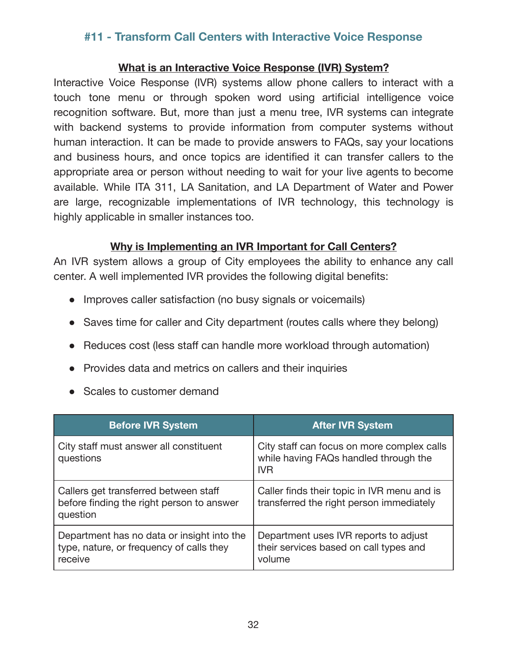# **#11 - Transform Call Centers with Interactive Voice Response**

#### **What is an Interactive Voice Response (IVR) System?**

Interactive Voice Response (IVR) systems allow phone callers to interact with a touch tone menu or through spoken word using artificial intelligence voice recognition software. But, more than just a menu tree, IVR systems can integrate with backend systems to provide information from computer systems without human interaction. It can be made to provide answers to FAQs, say your locations and business hours, and once topics are identified it can transfer callers to the appropriate area or person without needing to wait for your live agents to become available. While ITA 311, LA Sanitation, and LA Department of Water and Power are large, recognizable implementations of IVR technology, this technology is highly applicable in smaller instances too.

#### **Why is Implementing an IVR Important for Call Centers?**

An IVR system allows a group of City employees the ability to enhance any call center. A well implemented IVR provides the following digital benefits:

- Improves caller satisfaction (no busy signals or voicemails)
- Saves time for caller and City department (routes calls where they belong)
- Reduces cost (less staff can handle more workload through automation)
- Provides data and metrics on callers and their inquiries
- Scales to customer demand

| <b>Before IVR System</b>                                                                          | <b>After IVR System</b>                                                                           |
|---------------------------------------------------------------------------------------------------|---------------------------------------------------------------------------------------------------|
| City staff must answer all constituent<br>questions                                               | City staff can focus on more complex calls<br>while having FAQs handled through the<br><b>IVR</b> |
| Callers get transferred between staff<br>before finding the right person to answer<br>question    | Caller finds their topic in IVR menu and is<br>transferred the right person immediately           |
| Department has no data or insight into the<br>type, nature, or frequency of calls they<br>receive | Department uses IVR reports to adjust<br>their services based on call types and<br>volume         |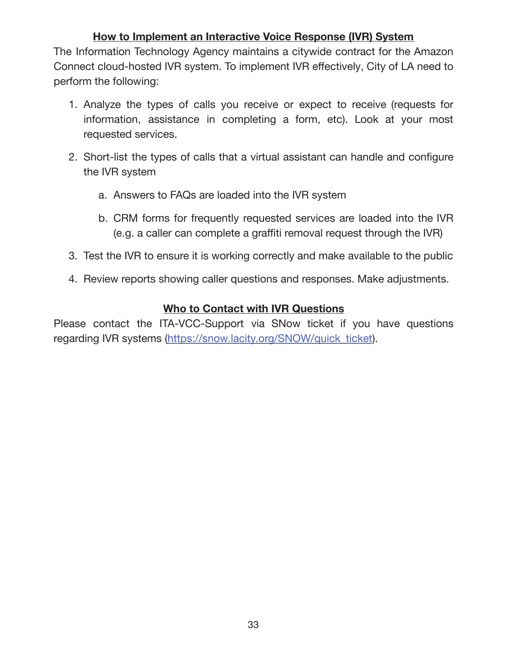# **How to Implement an Interactive Voice Response (IVR) System**

The Information Technology Agency maintains a citywide contract for the Amazon Connect cloud-hosted IVR system. To implement IVR effectively, City of LA need to perform the following:

- 1. Analyze the types of calls you receive or expect to receive (requests for information, assistance in completing a form, etc). Look at your most requested services.
- 2. Short-list the types of calls that a virtual assistant can handle and configure the IVR system bb
	- a. Answers to FAQs are loaded into the IVR system
	- b. CRM forms for frequently requested services are loaded into the IVR (e.g. a caller can complete a graffiti removal request through the IVR)
- 3. Test the IVR to ensure it is working correctly and make available to the public
- 4. Review reports showing caller questions and responses. Make adjustments.

#### **Who to Contact with IVR Questions**

Please contact the ITA-VCC-Support via SNow ticket if you have questions regarding IVR systems (https://snow.lacity.org/SNOW/quick\_ticket).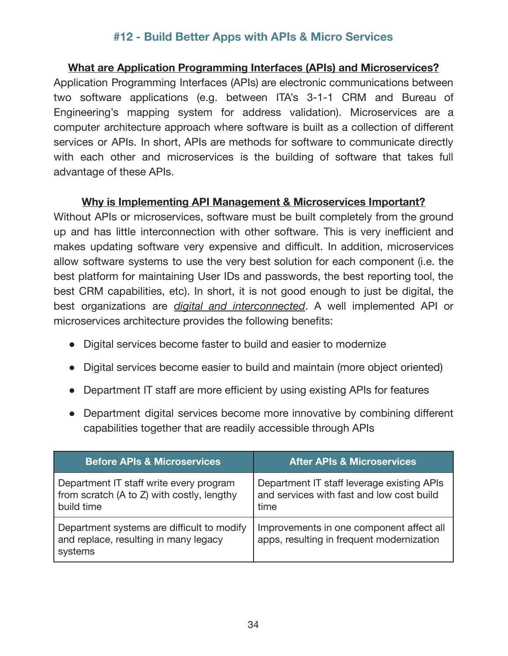# **#12 - Build Better Apps with APIs & Micro Services**

#### **What are Application Programming Interfaces (APIs) and Microservices?**

Application Programming Interfaces (APIs) are electronic communications between two software applications (e.g. between ITA's 3-1-1 CRM and Bureau of Engineering's mapping system for address validation). Microservices are a computer architecture approach where software is built as a collection of different services or APIs. In short, APIs are methods for software to communicate directly with each other and microservices is the building of software that takes full advantage of these APIs.

#### **Why is Implementing API Management & Microservices Important?**

Without APIs or microservices, software must be built completely from the ground up and has little interconnection with other software. This is very inefficient and makes updating software very expensive and difficult. In addition, microservices allow software systems to use the very best solution for each component (i.e. the best platform for maintaining User IDs and passwords, the best reporting tool, the best CRM capabilities, etc). In short, it is not good enough to just be digital, the best organizations are *digital and interconnected*. A well implemented API or microservices architecture provides the following benefits:

- Digital services become faster to build and easier to modernize
- Digital services become easier to build and maintain (more object oriented)
- Department IT staff are more efficient by using existing APIs for features
- Department digital services become more innovative by combining different capabilities together that are readily accessible through APIs

| <b>Before APIs &amp; Microservices</b>                                                              | <b>After APIs &amp; Microservices</b>                                                           |
|-----------------------------------------------------------------------------------------------------|-------------------------------------------------------------------------------------------------|
| Department IT staff write every program<br>from scratch (A to Z) with costly, lengthy<br>build time | Department IT staff leverage existing APIs<br>and services with fast and low cost build<br>time |
| Department systems are difficult to modify<br>and replace, resulting in many legacy<br>systems      | Improvements in one component affect all<br>apps, resulting in frequent modernization           |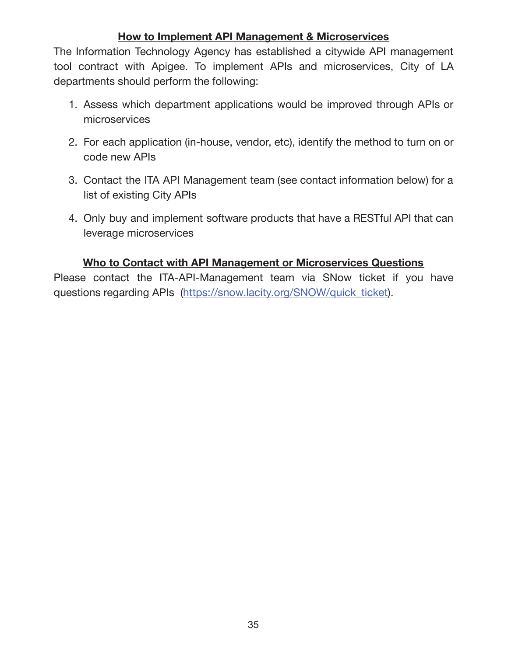#### **How to Implement API Management & Microservices**

The Information Technology Agency has established a citywide API management tool contract with Apigee. To implement APIs and microservices, City of LA departments should perform the following:

- 1. Assess which department applications would be improved through APIs or microservices
- 2. For each application (in-house, vendor, etc), identify the method to turn on or code new APIs
- 3. Contact the ITA API Management team (see contact information below) for a list of existing City APIs
- 4. Only buy and implement software products that have a RESTful API that can leverage microservices

#### **Who to Contact with API Management or Microservices Questions**

Please contact the ITA-API-Management team via SNow ticket if you have questions regarding APIs (https://snow.lacity.org/SNOW/quick\_ticket).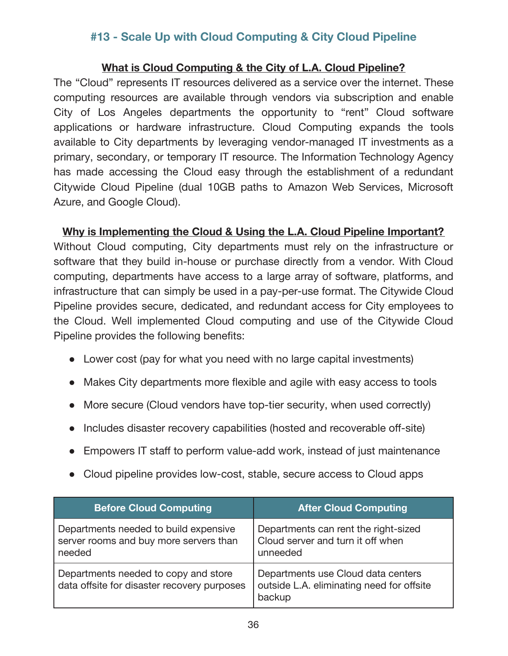# **#13 - Scale Up with Cloud Computing & City Cloud Pipeline**

#### **What is Cloud Computing & the City of L.A. Cloud Pipeline?**

The "Cloud" represents IT resources delivered as a service over the internet. These computing resources are available through vendors via subscription and enable City of Los Angeles departments the opportunity to "rent" Cloud software applications or hardware infrastructure. Cloud Computing expands the tools available to City departments by leveraging vendor-managed IT investments as a primary, secondary, or temporary IT resource. The Information Technology Agency has made accessing the Cloud easy through the establishment of a redundant Citywide Cloud Pipeline (dual 10GB paths to Amazon Web Services, Microsoft Azure, and Google Cloud).

#### **Why is Implementing the Cloud & Using the L.A. Cloud Pipeline Important?**

Without Cloud computing, City departments must rely on the infrastructure or software that they build in-house or purchase directly from a vendor. With Cloud computing, departments have access to a large array of software, platforms, and infrastructure that can simply be used in a pay-per-use format. The Citywide Cloud Pipeline provides secure, dedicated, and redundant access for City employees to the Cloud. Well implemented Cloud computing and use of the Citywide Cloud Pipeline provides the following benefits:

- Lower cost (pay for what you need with no large capital investments)
- Makes City departments more flexible and agile with easy access to tools
- More secure (Cloud vendors have top-tier security, when used correctly)
- Includes disaster recovery capabilities (hosted and recoverable off-site)
- Empowers IT staff to perform value-add work, instead of just maintenance
- Cloud pipeline provides low-cost, stable, secure access to Cloud apps

| <b>Before Cloud Computing</b>                                                             | <b>After Cloud Computing</b>                                                              |
|-------------------------------------------------------------------------------------------|-------------------------------------------------------------------------------------------|
| Departments needed to build expensive<br>server rooms and buy more servers than<br>needed | Departments can rent the right-sized<br>Cloud server and turn it off when<br>unneeded     |
| Departments needed to copy and store<br>data offsite for disaster recovery purposes       | Departments use Cloud data centers<br>outside L.A. eliminating need for offsite<br>backup |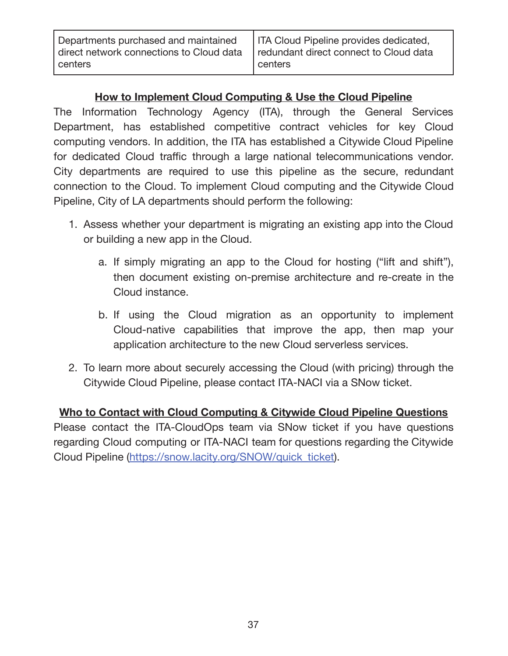Departments purchased and maintained direct network connections to Cloud data centers

# **How to Implement Cloud Computing & Use the Cloud Pipeline**

The Information Technology Agency (ITA), through the General Services Department, has established competitive contract vehicles for key Cloud computing vendors. In addition, the ITA has established a Citywide Cloud Pipeline for dedicated Cloud traffic through a large national telecommunications vendor. City departments are required to use this pipeline as the secure, redundant connection to the Cloud. To implement Cloud computing and the Citywide Cloud Pipeline, City of LA departments should perform the following:

- 1. Assess whether your department is migrating an existing app into the Cloud or building a new app in the Cloud.
	- a. If simply migrating an app to the Cloud for hosting ("lift and shift"), then document existing on-premise architecture and re-create in the Cloud instance.
	- b. If using the Cloud migration as an opportunity to implement Cloud-native capabilities that improve the app, then map your application architecture to the new Cloud serverless services.
- 2. To learn more about securely accessing the Cloud (with pricing) through the Citywide Cloud Pipeline, please contact ITA-NACI via a SNow ticket.

**Who to Contact with Cloud Computing & Citywide Cloud Pipeline Questions**  Please contact the ITA-CloudOps team via SNow ticket if you have questions regarding Cloud computing or ITA-NACI team for questions regarding the Citywide Cloud Pipeline (https://snow.lacity.org/SNOW/quick\_ticket).